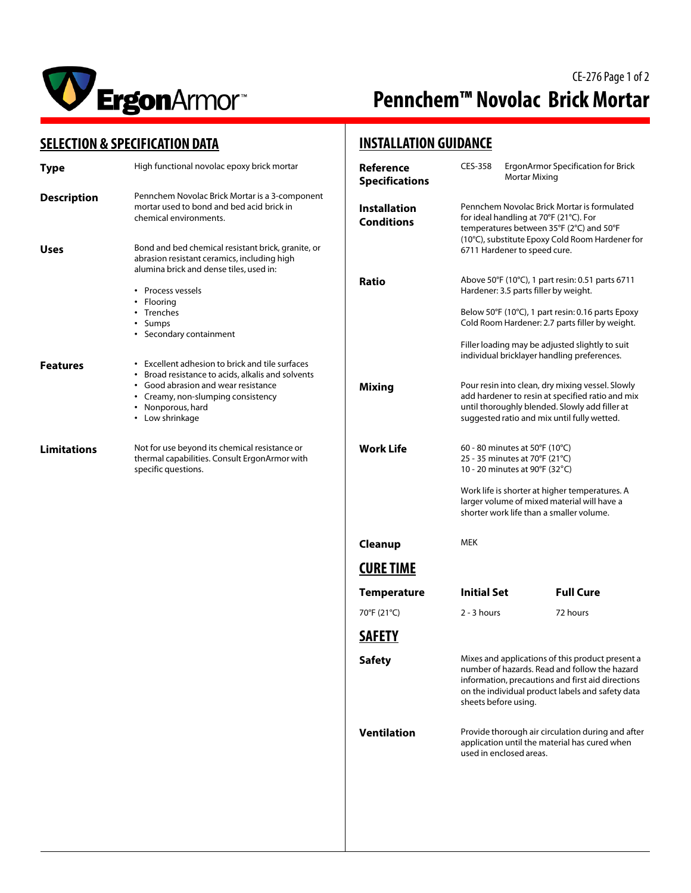

# CE-276 Page 1 of 2 **Pennchem™ Novolac Brick Mortar**

### **SELECTION & SPECIFICATION DATA**

| <b>SELECTION &amp; SPECIFICATION DATA</b> |                                                                                                                                                                                                                                | <b>INSTALLATION GUIDANCE</b>             |                                                                                                                                                                                                                                                 |                                                                                                                                                                                                                                                      |
|-------------------------------------------|--------------------------------------------------------------------------------------------------------------------------------------------------------------------------------------------------------------------------------|------------------------------------------|-------------------------------------------------------------------------------------------------------------------------------------------------------------------------------------------------------------------------------------------------|------------------------------------------------------------------------------------------------------------------------------------------------------------------------------------------------------------------------------------------------------|
| <b>Type</b>                               | High functional novolac epoxy brick mortar                                                                                                                                                                                     | Reference<br><b>Specifications</b>       | CES-358                                                                                                                                                                                                                                         | ErgonArmor Specification for Brick<br>Mortar Mixing                                                                                                                                                                                                  |
| <b>Description</b><br><b>Uses</b>         | Pennchem Novolac Brick Mortar is a 3-component<br>mortar used to bond and bed acid brick in<br>chemical environments.<br>Bond and bed chemical resistant brick, granite, or                                                    | <b>Installation</b><br><b>Conditions</b> | Pennchem Novolac Brick Mortar is formulated<br>for ideal handling at 70°F (21°C). For<br>temperatures between 35°F (2°C) and 50°F<br>(10°C), substitute Epoxy Cold Room Hardener for<br>6711 Hardener to speed cure.                            |                                                                                                                                                                                                                                                      |
|                                           | abrasion resistant ceramics, including high<br>alumina brick and dense tiles, used in:                                                                                                                                         |                                          |                                                                                                                                                                                                                                                 |                                                                                                                                                                                                                                                      |
|                                           | • Process vessels<br>Flooring<br>• Trenches<br>Sumps<br>٠<br>• Secondary containment                                                                                                                                           | <b>Ratio</b>                             |                                                                                                                                                                                                                                                 | Above 50°F (10°C), 1 part resin: 0.51 parts 6711<br>Hardener: 3.5 parts filler by weight.<br>Below 50°F (10°C), 1 part resin: 0.16 parts Epoxy<br>Cold Room Hardener: 2.7 parts filler by weight.<br>Filler loading may be adjusted slightly to suit |
| <b>Features</b>                           | • Excellent adhesion to brick and tile surfaces<br>Broad resistance to acids, alkalis and solvents<br>Good abrasion and wear resistance<br>Creamy, non-slumping consistency<br>Nonporous, hard<br>$\bullet$<br>• Low shrinkage | <b>Mixing</b>                            |                                                                                                                                                                                                                                                 | individual bricklayer handling preferences.<br>Pour resin into clean, dry mixing vessel. Slowly<br>add hardener to resin at specified ratio and mix<br>until thoroughly blended. Slowly add filler at<br>suggested ratio and mix until fully wetted. |
| <b>Limitations</b>                        | Not for use beyond its chemical resistance or<br>thermal capabilities. Consult ErgonArmor with<br>specific questions.                                                                                                          | <b>Work Life</b>                         | 60 - 80 minutes at 50°F (10°C)<br>25 - 35 minutes at 70°F (21°C)<br>10 - 20 minutes at 90°F (32°C)<br>Work life is shorter at higher temperatures. A<br>larger volume of mixed material will have a<br>shorter work life than a smaller volume. |                                                                                                                                                                                                                                                      |
|                                           |                                                                                                                                                                                                                                | Cleanup                                  | <b>MEK</b>                                                                                                                                                                                                                                      |                                                                                                                                                                                                                                                      |
|                                           |                                                                                                                                                                                                                                | <b>CURE TIME</b>                         |                                                                                                                                                                                                                                                 |                                                                                                                                                                                                                                                      |
|                                           |                                                                                                                                                                                                                                | <b>Temperature</b>                       | <b>Initial Set</b>                                                                                                                                                                                                                              | <b>Full Cure</b>                                                                                                                                                                                                                                     |
|                                           |                                                                                                                                                                                                                                | 70°F (21°C)                              | $2 - 3$ hours                                                                                                                                                                                                                                   | 72 hours                                                                                                                                                                                                                                             |
|                                           |                                                                                                                                                                                                                                | <b>SAFETY</b>                            |                                                                                                                                                                                                                                                 |                                                                                                                                                                                                                                                      |
|                                           |                                                                                                                                                                                                                                | <b>Safety</b>                            | sheets before using.                                                                                                                                                                                                                            | Mixes and applications of this product present a<br>number of hazards. Read and follow the hazard<br>information, precautions and first aid directions<br>on the individual product labels and safety data                                           |
|                                           |                                                                                                                                                                                                                                | <b>Ventilation</b>                       | used in enclosed areas.                                                                                                                                                                                                                         | Provide thorough air circulation during and after<br>application until the material has cured when                                                                                                                                                   |
|                                           |                                                                                                                                                                                                                                |                                          |                                                                                                                                                                                                                                                 |                                                                                                                                                                                                                                                      |